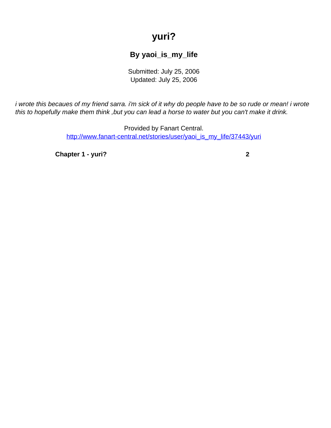## **yuri?**

## **By yaoi\_is\_my\_life**

Submitted: July 25, 2006 Updated: July 25, 2006

<span id="page-0-0"></span>i wrote this becaues of my friend sarra. i'm sick of it why do people have to be so rude or mean! i wrote this to hopefully make them think, but you can lead a horse to water but you can't make it drink.

> Provided by Fanart Central. [http://www.fanart-central.net/stories/user/yaoi\\_is\\_my\\_life/37443/yuri](#page-0-0)

**[Chapter 1 - yuri?](#page-1-0) [2](#page-1-0)**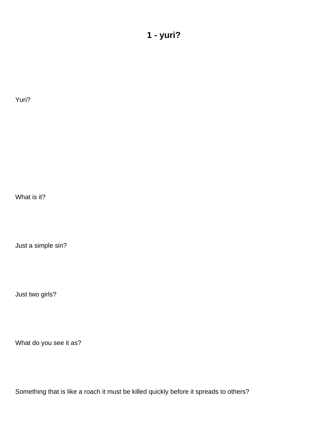## **1 - yuri?**

<span id="page-1-0"></span>Yuri?

What is it?

Just a simple sin?

Just two girls?

What do you see it as?

Something that is like a roach it must be killed quickly before it spreads to others?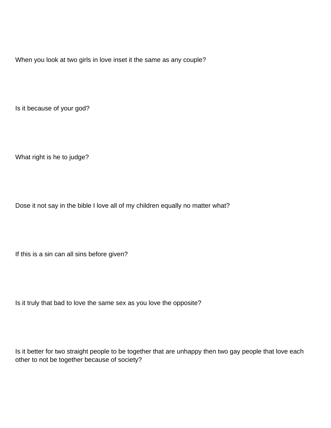When you look at two girls in love inset it the same as any couple?

Is it because of your god?

What right is he to judge?

Dose it not say in the bible I love all of my children equally no matter what?

If this is a sin can all sins before given?

Is it truly that bad to love the same sex as you love the opposite?

Is it better for two straight people to be together that are unhappy then two gay people that love each other to not be together because of society?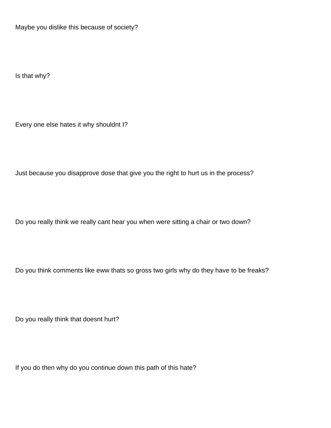Maybe you dislike this because of society?

Is that why?

Every one else hates it why shouldn t I?

Just because you disapprove dose that give you the right to hurt us in the process?

Do you really think we really can t hear you when were sitting a chair or two down?

Do you think comments like eww that s so gross two girls why do they have to be freaks?

Do you really think that doesn t hurt?

If you do then why do you continue down this path of this hate?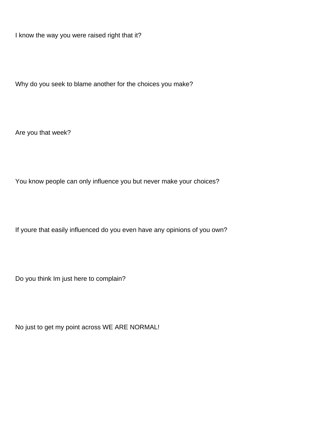I know the way you were raised right that it?

Why do you seek to blame another for the choices you make?

Are you that week?

You know people can only influence you but never make your choices?

If you re that easily influenced do you even have any opinions of you own?

Do you think I m just here to complain?

No just to get my point across WE ARE NORMAL!